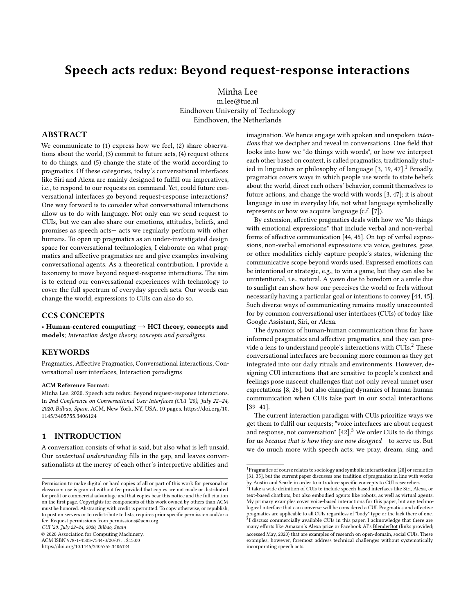# Speech acts redux: Beyond request-response interactions

Minha Lee m.lee@tue.nl Eindhoven University of Technology Eindhoven, the Netherlands

#### ABSTRACT

We communicate to (1) express how we feel, (2) share observations about the world, (3) commit to future acts, (4) request others to do things, and (5) change the state of the world according to pragmatics. Of these categories, today's conversational interfaces like Siri and Alexa are mainly designed to fulfill our imperatives, i.e., to respond to our requests on command. Yet, could future conversational interfaces go beyond request-response interactions? One way forward is to consider what conversational interactions allow us to do with language. Not only can we send request to CUIs, but we can also share our emotions, attitudes, beliefs, and promises as speech acts— acts we regularly perform with other humans. To open up pragmatics as an under-investigated design space for conversational technologies, I elaborate on what pragmatics and affective pragmatics are and give examples involving conversational agents. As a theoretical contribution, I provide a taxonomy to move beyond request-response interactions. The aim is to extend our conversational experiences with technology to cover the full spectrum of everyday speech acts. Our words can change the world; expressions to CUIs can also do so.

## CCS CONCEPTS

• Human-centered computing  $\rightarrow$  HCI theory, concepts and models; Interaction design theory, concepts and paradigms.

#### **KEYWORDS**

Pragmatics, Affective Pragmatics, Conversational interactions, Conversational user interfaces, Interaction paradigms

#### ACM Reference Format:

Minha Lee. 2020. Speech acts redux: Beyond request-response interactions. In 2nd Conference on Conversational User Interfaces (CUI '20), July 22–24, 2020, Bilbao, Spain. ACM, New York, NY, USA, [10](#page-9-0) pages. [https://doi.org/10.](https://doi.org/10.1145/3405755.3406124) [1145/3405755.3406124](https://doi.org/10.1145/3405755.3406124)

### 1 INTRODUCTION

A conversation consists of what is said, but also what is left unsaid. Our contextual understanding fills in the gap, and leaves conversationalists at the mercy of each other's interpretive abilities and

CUI '20, July 22–24, 2020, Bilbao, Spain

© 2020 Association for Computing Machinery.

ACM ISBN 978-1-4503-7544-3/20/07. . . \$15.00 <https://doi.org/10.1145/3405755.3406124>

imagination. We hence engage with spoken and unspoken intentions that we decipher and reveal in conversations. One field that looks into how we "do things with words", or how we interpret each other based on context, is called pragmatics, traditionally studied in linguistics or philosophy of language  $[3, 19, 47]$  $[3, 19, 47]$  $[3, 19, 47]$  $[3, 19, 47]$  $[3, 19, 47]$ .<sup>[1](#page-0-0)</sup> Broadly, pragmatics covers ways in which people use words to state beliefs about the world, direct each others' behavior, commit themselves to future actions, and change the world with words [\[3,](#page-8-0) [47\]](#page-8-2); it is about language in use in everyday life, not what language symbolically represents or how we acquire language (c.f. [\[7\]](#page-8-3)).

By extension, affective pragmatics deals with how we "do things with emotional expressions" that include verbal and non-verbal forms of affective communication [\[44,](#page-8-4) [45\]](#page-8-5). On top of verbal expressions, non-verbal emotional expressions via voice, gestures, gaze, or other modalities richly capture people's states, widening the communicative scope beyond words used. Expressed emotions can be intentional or strategic, e.g., to win a game, but they can also be unintentional, i.e., natural. A yawn due to boredom or a smile due to sunlight can show how one perceives the world or feels without necessarily having a particular goal or intentions to convey [\[44,](#page-8-4) [45\]](#page-8-5). Such diverse ways of communicating remains mostly unaccounted for by common conversational user interfaces (CUIs) of today like Google Assistant, Siri, or Alexa.

The dynamics of human-human communication thus far have informed pragmatics and affective pragmatics, and they can pro-vide a lens to understand people's interactions with CUIs.<sup>[2](#page-0-1)</sup> These conversational interfaces are becoming more common as they get integrated into our daily rituals and environments. However, designing CUI interactions that are sensitive to people's context and feelings pose nascent challenges that not only reveal unmet user expectations [\[8,](#page-8-6) [26\]](#page-8-7), but also changing dynamics of human-human communication when CUIs take part in our social interactions [\[39](#page-8-8)[–41\]](#page-8-9).

The current interaction paradigm with CUIs prioritize ways we get them to fulfil our requests; "voice interfaces are about request and response, not conversation"  $[42]$ .<sup>[3](#page-0-2)</sup> We order CUIs to do things for us because that is how they are now designed— to serve us. But we do much more with speech acts; we pray, dream, sing, and

Permission to make digital or hard copies of all or part of this work for personal or classroom use is granted without fee provided that copies are not made or distributed for profit or commercial advantage and that copies bear this notice and the full citation on the first page. Copyrights for components of this work owned by others than ACM must be honored. Abstracting with credit is permitted. To copy otherwise, or republish, to post on servers or to redistribute to lists, requires prior specific permission and/or a fee. Request permissions from permissions@acm.org.

<span id="page-0-0"></span> $^1$  Pragmatics of course relates to sociology and symbolic interactionism [\[28\]](#page-8-11) or semiotics [\[31,](#page-8-12) [35\]](#page-8-13), but the current paper discusses one tradition of pragmatics in line with works by Austin and Searle in order to introduce specific concepts to CUI researchers.

<span id="page-0-2"></span><span id="page-0-1"></span><sup>&</sup>lt;sup>2</sup>I take a wide definition of CUIs to include speech-based interfaces like Siri, Alexa, or text-based chatbots, but also embodied agents like robots, as well as virtual agents. My primary examples cover voice-based interactions for this paper, but any technological interface that can converse will be considered a CUI. Pragmatics and affective pragmatics are applicable to all CUIs regardless of "body" type or the lack there of one. 3 I discuss commercially available CUIs in this paper. I acknowledge that there are many efforts like [Amazon's Alexa prize](https://developer.amazon.com/alexaprize/) or Facebook AI's [BlenderBot](https://ai.facebook.com/blog/state-of-the-art-open-source-chatbot) (links provided; accessed May, 2020) that are examples of research on open-domain, social CUIs. These examples, however, foremost address technical challenges without systematically incorporating speech acts.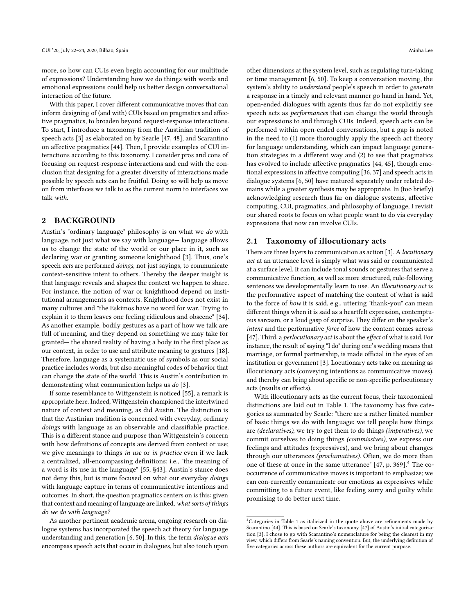more, so how can CUIs even begin accounting for our multitude of expressions? Understanding how we do things with words and emotional expressions could help us better design conversational interaction of the future.

With this paper, I cover different communicative moves that can inform designing of (and with) CUIs based on pragmatics and affective pragmatics, to broaden beyond request-response interactions. To start, I introduce a taxonomy from the Austinian tradition of speech acts [\[3\]](#page-8-0) as elaborated on by Searle [\[47,](#page-8-2) [48\]](#page-8-14), and Scarantino on affective pragmatics [\[44\]](#page-8-4). Then, I provide examples of CUI interactions according to this taxonomy. I consider pros and cons of focusing on request-response interactions and end with the conclusion that designing for a greater diversity of interactions made possible by speech acts can be fruitful. Doing so will help us move on from interfaces we talk to as the current norm to interfaces we talk with.

#### 2 BACKGROUND

Austin's "ordinary language" philosophy is on what we do with language, not just what we say with language— language allows us to change the state of the world or our place in it, such as declaring war or granting someone knighthood [\[3\]](#page-8-0). Thus, one's speech acts are performed doings, not just sayings, to communicate context-sensitive intent to others. Thereby the deeper insight is that language reveals and shapes the context we happen to share. For instance, the notion of war or knighthood depend on institutional arrangements as contexts. Knighthood does not exist in many cultures and "the Eskimos have no word for war. Trying to explain it to them leaves one feeling ridiculous and obscene" [\[34\]](#page-8-15). As another example, bodily gestures as a part of how we talk are full of meaning, and they depend on something we may take for granted— the shared reality of having a body in the first place as our context, in order to use and attribute meaning to gestures [\[18\]](#page-8-16). Therefore, language as a systematic use of symbols as our social practice includes words, but also meaningful codes of behavior that can change the state of the world. This is Austin's contribution in demonstrating what communication helps us do [\[3\]](#page-8-0).

If some resemblance to Wittgenstein is noticed [\[55\]](#page-9-1), a remark is appropriate here. Indeed, Wittgenstein championed the intertwined nature of context and meaning, as did Austin. The distinction is that the Austinian tradition is concerned with everyday, ordinary doings with language as an observable and classifiable practice. This is a different stance and purpose than Wittgenstein's concern with how definitions of concepts are derived from context or use; we give meanings to things in use or in practice even if we lack a centralized, all-encompassing definitions; i.e., "the meaning of a word is its use in the language" [\[55,](#page-9-1) §43]. Austin's stance does not deny this, but is more focused on what our everyday doings with language capture in terms of communicative intentions and outcomes. In short, the question pragmatics centers on is this: given that context and meaning of language are linked, what sorts of things do we do with language?

As another pertinent academic arena, ongoing research on dialogue systems has incorporated the speech act theory for language understanding and generation [\[6,](#page-8-17) [50\]](#page-8-18). In this, the term dialogue acts encompass speech acts that occur in dialogues, but also touch upon

other dimensions at the system level, such as regulating turn-taking or time management [\[6,](#page-8-17) [50\]](#page-8-18). To keep a conversation moving, the system's ability to understand people's speech in order to generate a response in a timely and relevant manner go hand in hand. Yet, open-ended dialogues with agents thus far do not explicitly see speech acts as *performances* that can change the world through our expressions to and through CUIs. Indeed, speech acts can be performed within open-ended conversations, but a gap is noted in the need to (1) more thoroughly apply the speech act theory for language understanding, which can impact language generation strategies in a different way and (2) to see that pragmatics has evolved to include affective pragmatics [\[44,](#page-8-4) [45\]](#page-8-5), though emotional expressions in affective computing [\[36,](#page-8-19) [37\]](#page-8-20) and speech acts in dialogue systems [\[6,](#page-8-17) [50\]](#page-8-18) have matured separately under related domains while a greater synthesis may be appropriate. In (too briefly) acknowledging research thus far on dialogue systems, affective computing, CUI, pragmatics, and philosophy of language, I revisit our shared roots to focus on what people want to do via everyday expressions that now can involve CUIs.

#### 2.1 Taxonomy of illocutionary acts

There are three layers to communication as action [\[3\]](#page-8-0). A locutionary act at an utterance level is simply what was said or communicated at a surface level. It can include tonal sounds or gestures that serve a communicative function, as well as more structured, rule-following sentences we developmentally learn to use. An *illocutionary act* is the performative aspect of matching the content of what is said to the force of how it is said, e.g., uttering "thank-you" can mean different things when it is said as a heartfelt expression, contemptuous sarcasm, or a loud gasp of surprise. They differ on the speaker's intent and the performative force of how the content comes across [\[47\]](#page-8-2). Third, a perlocutionary act is about the effect of what is said. For instance, the result of saying "I do" during one's wedding means that marriage, or formal partnership, is made official in the eyes of an institution or government [\[3\]](#page-8-0). Locutionary acts take on meaning as illocutionary acts (conveying intentions as communicative moves), and thereby can bring about specific or non-specific perlocutionary acts (results or effects).

With illocutionary acts as the current focus, their taxonomical distinctions are laid out in Table [1.](#page-2-0) The taxonomy has five categories as summated by Searle: "there are a rather limited number of basic things we do with language: we tell people how things are (declaratives), we try to get them to do things (imperatives), we commit ourselves to doing things (commissives), we express our feelings and attitudes (expressives), and we bring about changes through our utterances (proclamatives). Often, we do more than one of these at once in the same utterance"  $[47, p. 369]$  $[47, p. 369]$ .<sup>[4](#page-1-0)</sup> The cooccurrence of communicative moves is important to emphasize; we can con-currently communicate our emotions as expressives while committing to a future event, like feeling sorry and guilty while promising to do better next time.

<span id="page-1-0"></span><sup>&</sup>lt;sup>4</sup>Categories in Table [1](#page-2-0) as italicized in the quote above are refinements made by Scarantino [\[44\]](#page-8-4). This is based on Searle's taxonomy [\[47\]](#page-8-2) of Austin's initial categorization [\[3\]](#page-8-0). I chose to go with Scarantino's nomenclature for being the clearest in my view, which differs from Searle's naming convention. But, the underlying definition of five categories across these authors are equivalent for the current purpose.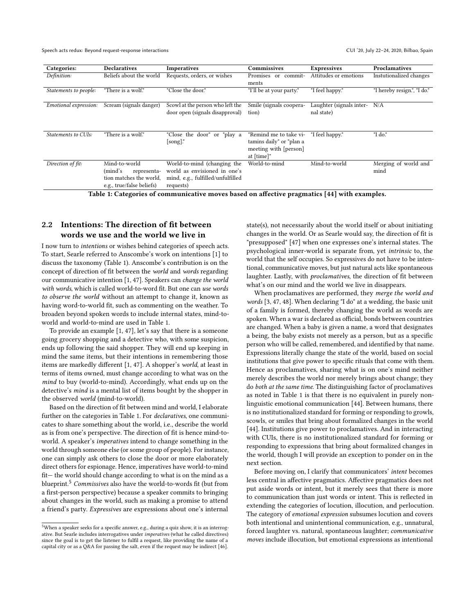Speech acts redux: Beyond request-response interactions CUI '20, July 22-24, 2020, Bilbao, Spain

<span id="page-2-0"></span>

| Categories:           | <b>Declaratives</b>       | <b>Imperatives</b>                | Commissives              | <b>Expressives</b>       | Proclamatives               |
|-----------------------|---------------------------|-----------------------------------|--------------------------|--------------------------|-----------------------------|
| Definition:           | Beliefs about the world   | Requests, orders, or wishes       | Promises or<br>commit-   | Attitudes or emotions    | Instutionalized changes     |
|                       |                           |                                   | ments                    |                          |                             |
| Statements to people: | "There is a wolf."        | "Close the door."                 | "I'll be at your party." | "I feel happy."          | "I hereby resign.", "I do." |
|                       |                           |                                   |                          |                          |                             |
| Emotional expression: | Scream (signals danger)   | Scowl at the person who left the  | Smile (signals coopera-  | Laughter (signals inter- | N/A                         |
|                       |                           | door open (signals disapproval)   | tion)                    | nal state)               |                             |
|                       |                           |                                   |                          |                          |                             |
|                       |                           |                                   |                          |                          |                             |
| Statements to CUIs:   | "There is a wolf."        | "Close the door" or "play a       | "Remind me to take vi-   | "I feel happy."          | "I do."                     |
|                       |                           | $[$ song $]$ ."                   | tamins daily" or "plan a |                          |                             |
|                       |                           |                                   | meeting with [person]    |                          |                             |
|                       |                           |                                   | at [time]"               |                          |                             |
| Direction of fit:     | Mind-to-world             | World-to-mind (changing the       | World-to-mind            | Mind-to-world            | Merging of world and        |
|                       | (mind's<br>representa-    | world as envisioned in one's      |                          |                          | mind                        |
|                       | tion matches the world.   | mind, e.g., fulfilled/unfulfilled |                          |                          |                             |
|                       | e.g., true/false beliefs) | requests)                         |                          |                          |                             |

Table 1: Categories of communicative moves based on affective pragmatics [\[44\]](#page-8-4) with examples.

## 2.2 Intentions: The direction of fit between words we use and the world we live in

I now turn to intentions or wishes behind categories of speech acts. To start, Searle referred to Anscombe's work on intentions [\[1\]](#page-7-0) to discuss the taxonomy (Table [1\)](#page-2-0). Anscombe's contribution is on the concept of direction of fit between the world and words regarding our communicative intention [\[1,](#page-7-0) [47\]](#page-8-2). Speakers can change the world with words, which is called world-to-word fit. But one can use words to observe the world without an attempt to change it, known as having word-to-world fit, such as commenting on the weather. To broaden beyond spoken words to include internal states, mind-toworld and world-to-mind are used in Table [1.](#page-2-0)

To provide an example [\[1,](#page-7-0) [47\]](#page-8-2), let's say that there is a someone going grocery shopping and a detective who, with some suspicion, ends up following the said shopper. They will end up keeping in mind the same items, but their intentions in remembering those items are markedly different [\[1,](#page-7-0) [47\]](#page-8-2). A shopper's world, at least in terms of items owned, must change according to what was on the mind to buy (world-to-mind). Accordingly, what ends up on the detective's mind is a mental list of items bought by the shopper in the observed world (mind-to-world).

Based on the direction of fit between mind and world, I elaborate further on the categories in Table [1.](#page-2-0) For declaratives, one communicates to share something about the world, i.e., describe the world as is from one's perspective. The direction of fit is hence mind-toworld. A speaker's imperatives intend to change something in the world through someone else (or some group of people). For instance, one can simply ask others to close the door or more elaborately direct others for espionage. Hence, imperatives have world-to-mind fit— the world should change according to what is on the mind as a blueprint.<sup>[5](#page-2-1)</sup> Commissives also have the world-to-words fit (but from a first-person perspective) because a speaker commits to bringing about changes in the world, such as making a promise to attend a friend's party. Expressives are expressions about one's internal

state(s), not necessarily about the world itself or about initiating changes in the world. Or as Searle would say, the direction of fit is "presupposed" [\[47\]](#page-8-2) when one expresses one's internal states. The psychological inner-world is separate from, yet intrinsic to, the world that the self occupies. So expressives do not have to be intentional, communicative moves, but just natural acts like spontaneous laughter. Lastly, with proclamatives, the direction of fit between what's on our mind and the world we live in disappears.

When proclamatives are performed, they merge the world and words [\[3,](#page-8-0) [47,](#page-8-2) [48\]](#page-8-14). When declaring "I do" at a wedding, the basic unit of a family is formed, thereby changing the world as words are spoken. When a war is declared as official, bonds between countries are changed. When a baby is given a name, a word that designates a being, the baby exists not merely as a person, but as a specific person who will be called, remembered, and identified by that name. Expressions literally change the state of the world, based on social institutions that give power to specific rituals that come with them. Hence as proclamatives, sharing what is on one's mind neither merely describes the world nor merely brings about change; they do both at the same time. The distinguishing factor of proclamatives as noted in Table [1](#page-2-0) is that there is no equivalent in purely nonlinguistic emotional communication [\[44\]](#page-8-4). Between humans, there is no institutionalized standard for forming or responding to growls, scowls, or smiles that bring about formalized changes in the world [\[44\]](#page-8-4). Institutions give power to proclamatives. And in interacting with CUIs, there is no institutionalized standard for forming or responding to expressions that bring about formalized changes in the world, though I will provide an exception to ponder on in the next section.

Before moving on, I clarify that communicators' intent becomes less central in affective pragmatics. Affective pragmatics does not put aside words or intent, but it merely sees that there is more to communication than just words or intent. This is reflected in extending the categories of locution, illocution, and perlocution. The category of emotional expression subsumes locution and covers both intentional and unintentional communication, e.g., unnatural, forced laughter vs. natural, spontaneous laughter; communicative moves include illocution, but emotional expressions as intentional

<span id="page-2-1"></span> $^{5}\rm{W}$  hen a speaker seeks for a specific answer, e.g., during a quiz show, it is an interrogative. But Searle includes interrogatives under imperatives (what he called directives) since the goal is to get the listener to fulfil a request, like providing the name of a capital city or as a Q&A for passing the salt, even if the request may be indirect [\[46\]](#page-8-21).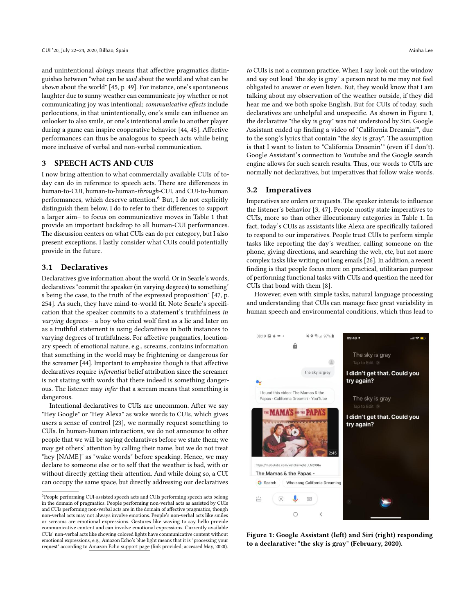and unintentional doings means that affective pragmatics distinguishes between "what can be said about the world and what can be shown about the world" [\[45,](#page-8-5) p. 49]. For instance, one's spontaneous laughter due to sunny weather can communicate joy whether or not communicating joy was intentional; communicative effects include perlocutions, in that unintentionally, one's smile can influence an onlooker to also smile, or one's intentional smile to another player during a game can inspire cooperative behavior [\[44,](#page-8-4) [45\]](#page-8-5). Affective performances can thus be analogous to speech acts while being more inclusive of verbal and non-verbal communication.

#### 3 SPEECH ACTS AND CUIS

I now bring attention to what commercially available CUIs of today can do in reference to speech acts. There are differences in human-to-CUI, human-to-human-through-CUI, and CUI-to-human performances, which deserve attention.<sup>[6](#page-3-0)</sup> But, I do not explicitly distinguish them below. I do to refer to their differences to support a larger aim– to focus on communicative moves in Table [1](#page-2-0) that provide an important backdrop to all human-CUI performances. The discussion centers on what CUIs can do per category, but I also present exceptions. I lastly consider what CUIs could potentially provide in the future.

#### 3.1 Declaratives

Declaratives give information about the world. Or in Searle's words, declaratives "commit the speaker (in varying degrees) to something' s being the case, to the truth of the expressed proposition" [\[47,](#page-8-2) p. 254]. As such, they have mind-to-world fit. Note Searle's specification that the speaker commits to a statement's truthfulness in varying degrees— a boy who cried wolf first as a lie and later on as a truthful statement is using declaratives in both instances to varying degrees of truthfulness. For affective pragmatics, locutionary speech of emotional nature, e.g., screams, contains information that something in the world may be frightening or dangerous for the screamer [\[44\]](#page-8-4). Important to emphasize though is that affective declaratives require inferential belief attribution since the screamer is not stating with words that there indeed is something dangerous. The listener may infer that a scream means that something is dangerous.

Intentional declaratives to CUIs are uncommon. After we say "Hey Google" or "Hey Alexa" as wake words to CUIs, which gives users a sense of control [\[23\]](#page-8-22), we normally request something to CUIs. In human-human interactions, we do not announce to other people that we will be saying declaratives before we state them; we may get others' attention by calling their name, but we do not treat "hey [NAME]" as "wake words" before speaking. Hence, we may declare to someone else or to self that the weather is bad, with or without directly getting their attention. And while doing so, a CUI can occupy the same space, but directly addressing our declaratives

to CUIs is not a common practice. When I say look out the window and say out loud "the sky is gray" a person next to me may not feel obligated to answer or even listen. But, they would know that I am talking about my observation of the weather outside, if they did hear me and we both spoke English. But for CUIs of today, such declaratives are unhelpful and unspecific. As shown in Figure [1,](#page-3-1) the declarative "the sky is gray" was not understood by Siri. Google Assistant ended up finding a video of "California Dreamin'", due to the song's lyrics that contain "the sky is gray". The assumption is that I want to listen to "California Dreamin'" (even if I don't). Google Assistant's connection to Youtube and the Google search engine allows for such search results. Thus, our words to CUIs are normally not declaratives, but imperatives that follow wake words.

#### 3.2 Imperatives

Imperatives are orders or requests. The speaker intends to influence the listener's behavior [\[3,](#page-8-0) [47\]](#page-8-2). People mostly state imperatives to CUIs, more so than other illocutionary categories in Table [1.](#page-2-0) In fact, today's CUIs as assistants like Alexa are specifically tailored to respond to our imperatives. People trust CUIs to perform simple tasks like reporting the day's weather, calling someone on the phone, giving directions, and searching the web, etc, but not more complex tasks like writing out long emails [\[26\]](#page-8-7). In addition, a recent finding is that people focus more on practical, utilitarian purpose of performing functional tasks with CUIs and question the need for CUIs that bond with them [\[8\]](#page-8-6).

However, even with simple tasks, natural language processing and understanding that CUIs can manage face great variability in human speech and environmental conditions, which thus lead to

<span id="page-3-1"></span>

Figure 1: Google Assistant (left) and Siri (right) responding to a declarative: "the sky is gray" (February, 2020).

<span id="page-3-0"></span><sup>6</sup>People performing CUI-assisted speech acts and CUIs performing speech acts belong in the domain of pragmatics. People performing non-verbal acts as assisted by CUIs and CUIs performing non-verbal acts are in the domain of affective pragmatics, though non-verbal acts may not always involve emotions. People's non-verbal acts like smiles or screams are emotional expressions. Gestures like waving to say hello provide communicative content and can involve emotional expressions. Currently available CUIs' non-verbal acts like showing colored lights have communicative content without emotional expressions, e.g., Amazon Echo's blue light means that it is "processing your request" according to [Amazon Echo support page](https://www.amazon.com/gp/help/customer/display.html?nodeId=GKLDRFT7FP4FZE56) (link provided; accessed May, 2020).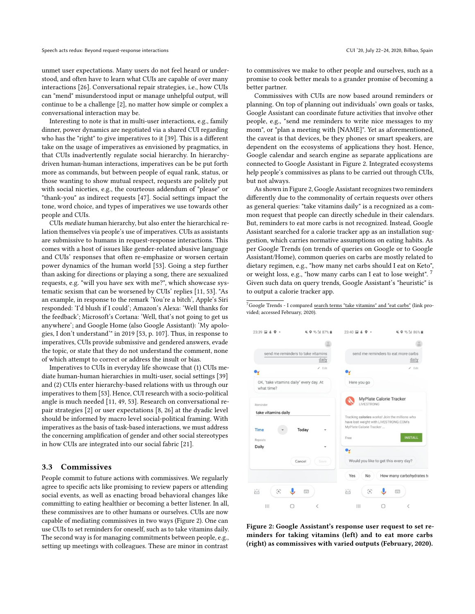unmet user expectations. Many users do not feel heard or understood, and often have to learn what CUIs are capable of over many interactions [\[26\]](#page-8-7). Conversational repair strategies, i.e., how CUIs can "mend" misunderstood input or manage unhelpful output, will continue to be a challenge [\[2\]](#page-8-23), no matter how simple or complex a conversational interaction may be.

Interesting to note is that in multi-user interactions, e.g., family dinner, power dynamics are negotiated via a shared CUI regarding who has the "right" to give imperatives to it [\[39\]](#page-8-8). This is a different take on the usage of imperatives as envisioned by pragmatics, in that CUIs inadvertently regulate social hierarchy. In hierarchydriven human-human interactions, imperatives can be be put forth more as commands, but between people of equal rank, status, or those wanting to show mutual respect, requests are politely put with social niceties, e.g., the courteous addendum of "please" or "thank-you" as indirect requests [\[47\]](#page-8-2). Social settings impact the tone, word choice, and types of imperatives we use towards other people and CUIs.

CUIs mediate human hierarchy, but also enter the hierarchical relation themselves via people's use of imperatives. CUIs as assistants are submissive to humans in request-response interactions. This comes with a host of issues like gender-related abusive language and CUIs' responses that often re-emphasize or worsen certain power dynamics of the human world [\[53\]](#page-9-2). Going a step further than asking for directions or playing a song, there are sexualized requests, e.g. "will you have sex with me?", which showcase systematic sexism that can be worsened by CUIs' replies [\[11,](#page-8-24) [53\]](#page-9-2). "As an example, in response to the remark 'You're a bitch', Apple's Siri responded: 'I'd blush if I could'; Amazon's Alexa: 'Well thanks for the feedback'; Microsoft's Cortana: 'Well, that's not going to get us anywhere'; and Google Home (also Google Assistant): 'My apologies, I don't understand'" in 2019 [\[53,](#page-9-2) p. 107]. Thus, in response to imperatives, CUIs provide submissive and gendered answers, evade the topic, or state that they do not understand the comment, none of which attempt to correct or address the insult or bias.

Imperatives to CUIs in everyday life showcase that (1) CUIs mediate human-human hierarchies in multi-user, social settings [\[39\]](#page-8-8) and (2) CUIs enter hierarchy-based relations with us through our imperatives to them [\[53\]](#page-9-2). Hence, CUI research with a socio-political angle is much needed [\[11,](#page-8-24) [49,](#page-8-25) [53\]](#page-9-2). Research on conversational repair strategies [\[2\]](#page-8-23) or user expectations [\[8,](#page-8-6) [26\]](#page-8-7) at the dyadic level should be informed by macro level social-political framing. With imperatives as the basis of task-based interactions, we must address the concerning amplification of gender and other social stereotypes in how CUIs are integrated into our social fabric [\[21\]](#page-8-26).

#### 3.3 Commissives

People commit to future actions with commissives. We regularly agree to specific acts like promising to review papers or attending social events, as well as enacting broad behavioral changes like committing to eating healthier or becoming a better listener. In all, these commissives are to other humans or ourselves. CUIs are now capable of mediating commissives in two ways (Figure [2\)](#page-4-0). One can use CUIs to set reminders for oneself, such as to take vitamins daily. The second way is for managing commitments between people, e.g., setting up meetings with colleagues. These are minor in contrast

to commissives we make to other people and ourselves, such as a promise to cook better meals to a grander promise of becoming a better partner.

Commissives with CUIs are now based around reminders or planning. On top of planning out individuals' own goals or tasks, Google Assistant can coordinate future activities that involve other people, e.g., "send me reminders to write nice messages to my mom", or "plan a meeting with [NAME]". Yet as aforementioned, the caveat is that devices, be they phones or smart speakers, are dependent on the ecosystems of applications they host. Hence, Google calendar and search engine as separate applications are connected to Google Assistant in Figure [2.](#page-4-0) Integrated ecosystems help people's commissives as plans to be carried out through CUIs, but not always.

As shown in Figure [2,](#page-4-0) Google Assistant recognizes two reminders differently due to the commonality of certain requests over others as general queries: "take vitamins daily" is a recognized as a common request that people can directly schedule in their calendars. But, reminders to eat more carbs is not recognized. Instead, Google Assistant searched for a calorie tracker app as an installation suggestion, which carries normative assumptions on eating habits. As per Google Trends (on trends of queries on Google or to Google Assistant/Home), common queries on carbs are mostly related to dietary regimen, e.g., "how many net carbs should I eat on Keto", or weight loss, e.g., "how many carbs can I eat to lose weight". [7](#page-4-1) Given such data on query trends, Google Assistant's "heuristic" is to output a calorie tracker app.

<span id="page-4-1"></span> $^7$ Google Trends - I compared s<u>earch terms "take vitamins" and "eat carbs"</u> (link pro[vided; accessed February, 2020\).](https://trends.google.com/trends/explore?q=take%20vitamins,eat%20carbs)

<span id="page-4-0"></span>

Figure 2: Google Assistant's response user request to set reminders for taking vitamins (left) and to eat more carbs (right) as commissives with varied outputs (February, 2020).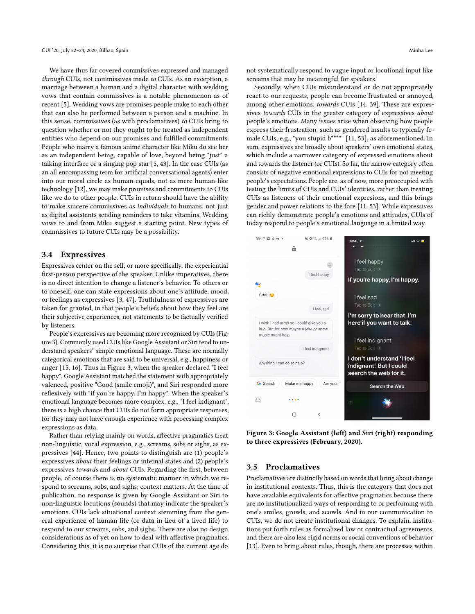We have thus far covered commissives expressed and managed through CUIs, not commissives made to CUIs. As an exception, a marriage between a human and a digital character with wedding vows that contain commissives is a notable phenomenon as of recent [\[5\]](#page-8-27). Wedding vows are promises people make to each other that can also be performed between a person and a machine. In this sense, commissives (as with proclamatives) to CUIs bring to question whether or not they ought to be treated as independent entities who depend on our promises and fulfilled commitments. People who marry a famous anime character like Miku do see her as an independent being, capable of love, beyond being "just" a talking interface or a singing pop star [\[5,](#page-8-27) [43\]](#page-8-28). In the case CUIs (as an all encompassing term for artificial conversational agents) enter into our moral circle as human-equals, not as mere human-like technology [\[12\]](#page-8-29), we may make promises and commitments to CUIs like we do to other people. CUIs in return should have the ability to make sincere commissives as individuals to humans, not just as digital assistants sending reminders to take vitamins. Wedding vows to and from Miku suggest a starting point. New types of commissives to future CUIs may be a possibility.

#### 3.4 Expressives

Expressives center on the self, or more specifically, the experiential first-person perspective of the speaker. Unlike imperatives, there is no direct intention to change a listener's behavior. To others or to oneself, one can state expressions about one's attitude, mood, or feelings as expressives [\[3,](#page-8-0) [47\]](#page-8-2). Truthfulness of expressives are taken for granted, in that people's beliefs about how they feel are their subjective experiences, not statements to be factually verified by listeners.

People's expressives are becoming more recognized by CUIs (Figure [3\)](#page-5-0). Commonly used CUIs like Google Assistant or Siri tend to understand speakers' simple emotional language. These are normally categorical emotions that are said to be universal, e.g., happiness or anger [\[15,](#page-8-30) [16\]](#page-8-31). Thus in Figure [3,](#page-5-0) when the speaker declared "I feel happy", Google Assistant matched the statement with appropriately valenced, positive "Good (smile emoji)", and Siri responded more reflexively with "if you're happy, I'm happy". When the speaker's emotional language becomes more complex, e.g., "I feel indignant", there is a high chance that CUIs do not form appropriate responses, for they may not have enough experience with processing complex expressions as data.

Rather than relying mainly on words, affective pragmatics treat non-linguistic, vocal expression, e.g., screams, sobs or sighs, as expressives [\[44\]](#page-8-4). Hence, two points to distinguish are (1) people's expressives about their feelings or internal states and (2) people's expressives towards and about CUIs. Regarding the first, between people, of course there is no systematic manner in which we respond to screams, sobs, and sighs; context matters. At the time of publication, no response is given by Google Assistant or Siri to non-linguistic locutions (sounds) that may indicate the speaker's emotions. CUIs lack situational context stemming from the general experience of human life (or data in lieu of a lived life) to respond to our screams, sobs, and sighs. There are also no design considerations as of yet on how to deal with affective pragmatics. Considering this, it is no surprise that CUIs of the current age do

not systematically respond to vague input or locutional input like screams that may be meaningful for speakers.

Secondly, when CUIs misunderstand or do not appropriately react to our requests, people can become frustrated or annoyed, among other emotions, towards CUIs [\[14,](#page-8-32) [39\]](#page-8-8). These are expressives towards CUIs in the greater category of expressives about people's emotions. Many issues arise when observing how people express their frustration, such as gendered insults to typically female CUIs, e.g., "you stupid b\*\*\*\*" [\[11,](#page-8-24) [53\]](#page-9-2), as aforementioned. In sum, expressives are broadly about speakers' own emotional states, which include a narrower category of expressed emotions about and towards the listener (or CUIs). So far, the narrow category often consists of negative emotional expressions to CUIs for not meeting people's expectations. People are, as of now, more preoccupied with testing the limits of CUIs and CUIs' identities, rather than treating CUIs as listeners of their emotional expresions, and this brings gender and power relations to the fore [\[11,](#page-8-24) [53\]](#page-9-2). While expressives can richly demonstrate people's emotions and attitudes, CUIs of today respond to people's emotional language in a limited way.

<span id="page-5-0"></span>

Figure 3: Google Assistant (left) and Siri (right) responding to three expressives (February, 2020).

#### 3.5 Proclamatives

Proclamatives are distinctly based on words that bring about change in institutional contexts. Thus, this is the category that does not have available equivalents for affective pragmatics because there are no institutionalized ways of responding to or performing with one's smiles, growls, and scowls. And in our communication to CUIs, we do not create institutional changes. To explain, institutions put forth rules as formalized law or contractual agreements, and there are also less rigid norms or social conventions of behavior [\[13\]](#page-8-33). Even to bring about rules, though, there are processes within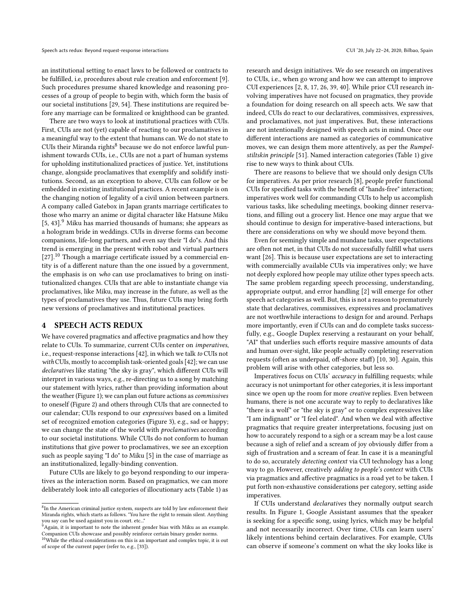an institutional setting to enact laws to be followed or contracts to be fulfilled, i.e, procedures about rule creation and enforcement [\[9\]](#page-8-34). Such procedures presume shared knowledge and reasoning processes of a group of people to begin with, which form the basis of our societal institutions [\[29,](#page-8-35) [54\]](#page-9-3). These institutions are required before any marriage can be formalized or knighthood can be granted.

There are two ways to look at institutional practices with CUIs. First, CUIs are not (yet) capable of reacting to our proclamatives in a meaningful way to the extent that humans can. We do not state to CUIs their Miranda rights<sup>[8](#page-6-0)</sup> because we do not enforce lawful punishment towards CUIs, i.e., CUIs are not a part of human systems for upholding institutionalized practices of justice. Yet, institutions change, alongside proclamatives that exemplify and solidify institutions. Second, as an exception to above, CUIs can follow or be embedded in existing institutional practices. A recent example is on the changing notion of legality of a civil union between partners. A company called Gatebox in Japan grants marriage certificates to those who marry an anime or digital character like Hatsune Miku [\[5,](#page-8-27) [43\]](#page-8-28).<sup>[9](#page-6-1)</sup> Miku has married thousands of humans; she appears as a hologram bride in weddings. CUIs in diverse forms can become companions, life-long partners, and even say their "I do"s. And this trend is emerging in the present with robot and virtual partners  $[27]$ <sup>[10](#page-6-2)</sup> Though a marriage certificate issued by a commercial entity is of a different nature than the one issued by a government, the emphasis is on who can use proclamatives to bring on institutionalized changes. CUIs that are able to instantiate change via proclamatives, like Miku, may increase in the future, as well as the types of proclamatives they use. Thus, future CUIs may bring forth new versions of proclamatives and institutional practices.

#### 4 SPEECH ACTS REDUX

We have covered pragmatics and affective pragmatics and how they relate to CUIs. To summarize, current CUIs center on imperatives, i.e., request-response interactions [\[42\]](#page-8-10), in which we talk to CUIs not with CUIs, mostly to accomplish task-oriented goals [\[42\]](#page-8-10); we can use declaratives like stating "the sky is gray", which different CUIs will interpret in various ways, e.g., re-directing us to a song by matching our statement with lyrics, rather than providing information about the weather (Figure [1\)](#page-3-1); we can plan out future actions as *commissives* to oneself (Figure [2\)](#page-4-0) and others through CUIs that are connected to our calendar; CUIs respond to our expressives based on a limited set of recognized emotion categories (Figure [3\)](#page-5-0), e.g., sad or happy; we can change the state of the world with proclamatives according to our societal institutions. While CUIs do not conform to human institutions that give power to proclamatives, we see an exception such as people saying "I do" to Miku [\[5\]](#page-8-27) in the case of marriage as an institutionalized, legally-binding convention.

Future CUIs are likely to go beyond responding to our imperatives as the interaction norm. Based on pragmatics, we can more deliberately look into all categories of illocutionary acts (Table [1\)](#page-2-0) as

research and design initiatives. We do see research on imperatives to CUIs, i.e., when go wrong and how we can attempt to improve CUI experiences [\[2,](#page-8-23) [8,](#page-8-6) [17,](#page-8-38) [26,](#page-8-7) [39,](#page-8-8) [40\]](#page-8-39). While prior CUI research involving imperatives have not focused on pragmatics, they provide a foundation for doing research on all speech acts. We saw that indeed, CUIs do react to our declaratives, commissives, expressives, and proclamatives, not just imperatives. But, these interactions are not intentionally designed with speech acts in mind. Once our different interactions are named as categories of communicative moves, we can design them more attentively, as per the Rumpelstiltskin principle [\[51\]](#page-8-40). Named interaction categories (Table [1\)](#page-2-0) give rise to new ways to think about CUIs.

There are reasons to believe that we should only design CUIs for imperatives. As per prior research [\[8\]](#page-8-6), people prefer functional CUIs for specified tasks with the benefit of "hands-free" interaction; imperatives work well for commanding CUIs to help us accomplish various tasks, like scheduling meetings, booking dinner reservations, and filling out a grocery list. Hence one may argue that we should continue to design for imperative-based interactions, but there are considerations on why we should move beyond them.

Even for seemingly simple and mundane tasks, user expectations are often not met, in that CUIs do not successfully fulfill what users want [\[26\]](#page-8-7). This is because user expectations are set to interacting with commercially available CUIs via imperatives only; we have not deeply explored how people may utilize other types speech acts. The same problem regarding speech processing, understanding, appropriate output, and error handling [\[2\]](#page-8-23) will emerge for other speech act categories as well. But, this is not a reason to prematurely state that declaratives, commissives, expressives and proclamatives are not worthwhile interactions to design for and around. Perhaps more importantly, even if CUIs can and do complete tasks successfully, e.g., Google Duplex reserving a restaurant on your behalf, "AI" that underlies such efforts require massive amounts of data and human over-sight, like people actually completing reservation requests (often as underpaid, off-shore staff) [\[10,](#page-8-41) [30\]](#page-8-42). Again, this problem will arise with other categories, but less so.

Imperatives focus on CUIs' accuracy in fulfilling requests; while accuracy is not unimportant for other categories, it is less important since we open up the room for more creative replies. Even between humans, there is not one accurate way to reply to declaratives like "there is a wolf" or "the sky is gray" or to complex expressives like "I am indignant" or "I feel elated". And when we deal with affective pragmatics that require greater interpretations, focusing just on how to accurately respond to a sigh or a scream may be a lost cause because a sigh of relief and a scream of joy obviously differ from a sigh of frustration and a scream of fear. In case it is a meaningful to do so, accurately detecting context via CUI technology has a long way to go. However, creatively adding to people's context with CUIs via pragmatics and affective pragmatics is a road yet to be taken. I put forth non-exhaustive considerations per category, setting aside imperatives.

If CUIs understand declaratives they normally output search results. In Figure [1,](#page-3-1) Google Assistant assumes that the speaker is seeking for a specific song, using lyrics, which may be helpful and not necessarily incorrect. Over time, CUIs can learn users' likely intentions behind certain declaratives. For example, CUIs can observe if someone's comment on what the sky looks like is

<span id="page-6-0"></span><sup>&</sup>lt;sup>8</sup>In the American criminal justice system, suspects are told by law enforcement their Miranda rights, which starts as follows. "You have the right to remain silent. Anything

<span id="page-6-1"></span>you say can be used against you in court. etc..." <sup>9</sup>Again, it is important to note the inherent gender bias with Miku as an example. Companion CUIs showcase and possibly reinforce certain binary gender norms.

<span id="page-6-2"></span><sup>&</sup>lt;sup>10</sup>While the ethical considerations on this is an important and complex topic, it is out of scope of the current paper (refer to, e.g., [\[33\]](#page-8-37)).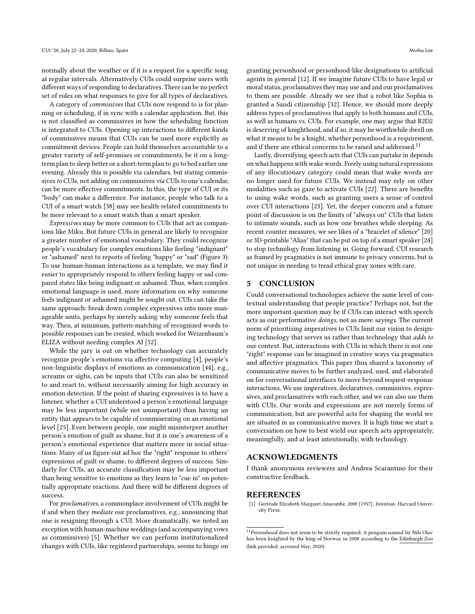normally about the weather or if it is a request for a specific song at regular intervals. Alternatively CUIs could surprise users with different ways of responding to declaratives. There can be no perfect set of rules on what responses to give for all types of declaratives.

A category of commissives that CUIs now respond to is for planning or scheduling, if in sync with a calendar application. But, this is not classified as commissives in how the scheduling function is integrated to CUIs. Opening up interactions to different kinds of commissives means that CUIs can be used more explicitly as commitment devices. People can hold themselves accountable to a greater variety of self-promises or commitments, be it on a longterm plan to sleep better or a short-term plan to go to bed earlier one evening. Already this is possible via calendars, but stating commissives to CUIs, not adding on commissives via CUIs to one's calendar, can be more effective commitments. In this, the type of CUI or its "body" can make a difference. For instance, people who talk to a CUI of a smart watch [\[38\]](#page-8-43) may see health-related commitments to be more relevant to a smart watch than a smart speaker.

Expressives may be more common to CUIs that act as companions like Miku. But future CUIs in general are likely to recognize a greater number of emotional vocabulary. They could recognize people's vocabulary for complex emotions like feeling "indignant" or "ashamed" next to reports of feeling "happy" or "sad" (Figure [3\)](#page-5-0). To use human-human interactions as a template, we may find it easier to appropriately respond to others feeling happy or sad compared states like being indignant or ashamed. Thus, when complex emotional language is used, more information on why someone feels indignant or ashamed might be sought out. CUIs can take the same approach: break down complex expressives into more manageable units, perhaps by merely asking why someone feels that way. Then, at minimum, pattern-matching of recognized words to possible responses can be created, which worked for Weizenbaum's ELIZA without needing complex AI [\[52\]](#page-9-4).

While the jury is out on whether technology can accurately recognize people's emotions via affective computing [\[4\]](#page-8-44), people's non-linguistic displays of emotions as communication [\[44\]](#page-8-4), e.g., screams or sighs, can be inputs that CUIs can also be sensitized to and react to, without necessarily aiming for high accuracy in emotion detection. If the point of sharing expressives is to have a listener, whether a CUI understood a person's emotional language may be less important (while not unimportant) than having an entity that appears to be capable of commiserating on an emotional level [\[25\]](#page-8-45). Even between people, one might misinterpret another person's emotion of guilt as shame, but it is one's awareness of a person's emotional experience that matters more in social situations. Many of us figure out ad hoc the "right" response to others' expressions of guilt or shame, to different degrees of success. Similarly for CUIs, an accurate classification may be less important than being sensitive to emotions as they learn to "cue in" on potentially appropriate reactions. And there will be different degrees of success.

For proclamatives, a commonplace involvement of CUIs might be if and when they mediate our proclamatives, e.g., announcing that one is resigning through a CUI. More dramatically, we noted an exception with human-machine weddings (and accompanying vows as commissives) [\[5\]](#page-8-27). Whether we can perform institutionalized changes with CUIs, like registered partnerships, seems to hinge on granting personhood or personhood-like designations to artificial agents in general [\[12\]](#page-8-29). If we imagine future CUIs to have legal or moral status, proclamatives they may use and and our proclamatives to them are possible. Already we see that a robot like Sophia is granted a Saudi citizenship [\[32\]](#page-8-46). Hence, we should more deeply address types of proclamatives that apply to both humans and CUIs, as well as humans vs. CUIs. For example, one may argue that R2D2 is deserving of knighthood, and if so, it may be worthwhile dwell on what it means to be a knight, whether personhood is a requirement, and if there are ethical concerns to be raised and addressed.<sup>[11](#page-7-1)</sup>

Lastly, diversifying speech acts that CUIs can partake in depends on what happens with wake words. Freely using natural expressions of any illocutionary category could mean that wake words are no longer used for future CUIs. We instead may rely on other modalities such as gaze to activate CUIs [\[22\]](#page-8-47). There are benefits to using wake words, such as granting users a sense of control over CUI interactions [\[23\]](#page-8-22). Yet, the deeper concern and a future point of discussion is on the limits of "always on" CUIs that listen to intimate sounds, such as how one breathes while sleeping. As recent counter measures, we see likes of a "bracelet of silence" [\[20\]](#page-8-48) or 3D-printable "Alias" that can be put on top of a smart speaker [\[24\]](#page-8-49) to stop technology from listening in. Going forward, CUI research as framed by pragmatics is not immune to privacy concerns, but is not unique in needing to tread ethical gray zones with care.

#### 5 CONCLUSION

Could conversational technologies achieve the same level of contextual understanding that people practice? Perhaps not, but the more important question may be if CUIs can interact with speech acts as our performative doings, not as mere sayings. The current norm of prioritizing imperatives to CUIs limit our vision to designing technology that serves us rather than technology that adds to our context. But, interactions with CUIs in which there is not one "right" response can be imagined in creative ways via pragmatics and affective pragmatics. This paper thus shared a taxonomy of communicative moves to be further analyzed, used, and elaborated on for conversational interfaces to move beyond request-response interactions. We use imperatives, declaratives, commissives, expressives, and proclamatives with each other, and we can also use them with CUIs. Our words and expressions are not merely forms of communication, but are powerful acts for shaping the world we are situated in as communicative moves. It is high time we start a conversation on how to best wield our speech acts appropriately, meaningfully, and at least intentionally, with technology.

### ACKNOWLEDGMENTS

I thank anonymous reviewers and Andrea Scarantino for their constructive feedback.

#### REFERENCES

<span id="page-7-0"></span>[1] Gertrude Elizabeth Margaret Anscombe. 2000 [1957]. Intention. Harvard University Press.

<span id="page-7-1"></span> $^{11}{\rm Person}$  hood does not seem to be strictly required. A penguin named Sir Nils Olav has been knighted by the king of Norway [in 2008 according to the](https://www.edinburghzoo.org.uk/sirnilsolav) Edinburgh Zoo [\(link provided; accessed May, 2020\).](https://www.edinburghzoo.org.uk/sirnilsolav)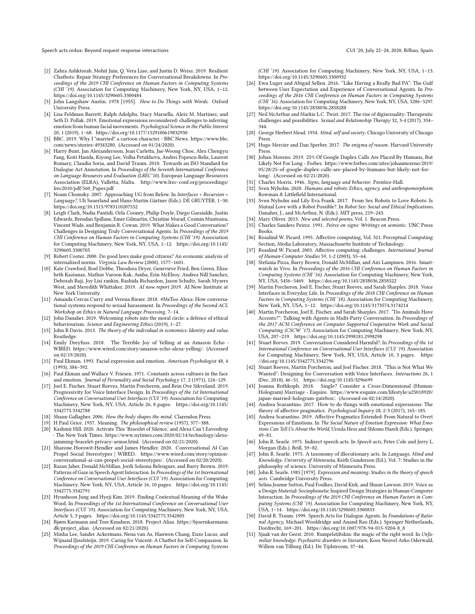Speech acts redux: Beyond request-response interactions CUI '20, July 22-24, 2020, Bilbao, Spain

- <span id="page-8-23"></span>[2] Zahra Ashktorab, Mohit Jain, Q. Vera Liao, and Justin D. Weisz. 2019. Resilient Chatbots: Repair Strategy Preferences for Conversational Breakdowns. In Proceedings of the 2019 CHI Conference on Human Factors in Computing Systems (CHI '19). Association for Computing Machinery, New York, NY, USA, 1–12. <https://doi.org/10.1145/3290605.3300484>
- <span id="page-8-0"></span>[3] John Langshaw Austin. 1978 [1955]. How to Do Things with Words. Oxford University Press.
- <span id="page-8-44"></span>[4] Lisa Feldman Barrett, Ralph Adolphs, Stacy Marsella, Aleix M. Martinez, and Seth D. Pollak. 2019. Emotional expressions reconsidered: challenges to inferring emotion from human facial movements. Psychological Science in the Public Interest 20, 1 (2019), 1–68.<https://doi.org/10.1177/1529100619832930>
- <span id="page-8-27"></span>[5] BBC. 2019. Why I "married" a cartoon character - BBC News. [https://www.bbc.](https://www.bbc.com/news/stories-49343280) [com/news/stories-49343280.](https://www.bbc.com/news/stories-49343280) (Accessed on 01/24/2020).
- <span id="page-8-17"></span>[6] Harry Bunt, Jan Alexandersson, Jean Carletta, Jae-Woong Choe, Alex Chengyu Fang, Koiti Hasida, Kiyong Lee, Volha Petukhova, Andrei Popescu-Belis, Laurent Romary, Claudia Soria, and David Traum. 2010. Towards an ISO Standard for Dialogue Act Annotation. In Proceedings of the Seventh International Conference on Language Resources and Evaluation (LREC'10). European Language Resources Association (ELRA), Valletta, Malta. [http://www.lrec-conf.org/proceedings/](http://www.lrec-conf.org/proceedings/lrec2010/pdf/560_Paper.pdf) [lrec2010/pdf/560\\_Paper.pdf](http://www.lrec-conf.org/proceedings/lrec2010/pdf/560_Paper.pdf)
- <span id="page-8-3"></span>[7] Noam Chomsky. 2007. Approaching UG from Below. In Interfaces + Recursion = Language?, Uli Sauerland and Hans-Martin Gärtner (Eds.). DE GRUYTER, 1–30. <https://doi.org/10.1515/9783110207552>
- <span id="page-8-6"></span>[8] Leigh Clark, Nadia Pantidi, Orla Cooney, Philip Doyle, Diego Garaialde, Justin Edwards, Brendan Spillane, Emer Gilmartin, Christine Murad, Cosmin Munteanu, Vincent Wade, and Benjamin R. Cowan. 2019. What Makes a Good Conversation? Challenges in Designing Truly Conversational Agents. In Proceedings of the 2019 CHI Conference on Human Factors in Computing Systems (CHI '19). Association for Computing Machinery, New York, NY, USA, 1–12. [https://doi.org/10.1145/](https://doi.org/10.1145/3290605.3300705) [3290605.3300705](https://doi.org/10.1145/3290605.3300705)
- <span id="page-8-34"></span>[9] Robert Cooter. 2000. Do good laws make good citizens? An economic analysis of internalized norms. Virginia Law Review (2000), 1577–1601.
- <span id="page-8-41"></span>[10] Kate Crawford, Roel Dobbe, Theodora Dryer, Genevieve Fried, Ben Green, Elizabeth Kaziunas, Mathur Varoon Kak, Amba, Erin McElroy, Andrea Nill Sanchez, Deborah Raji, Joy Lisi rankin, Rashida Richardon, Jason Schultz, Sarah Mysers West, and Meredith Whittaker. 2019. AI now report 2019. AI Now Institute at New York University.
- <span id="page-8-24"></span>[11] Amanda Cercas Curry and Verena Rieser. 2018. #MeToo Alexa: How conversational systems respond to sexual harassment. In Proceedings of the Second ACL Workshop on Ethics in Natural Language Processing. 7–14.
- <span id="page-8-29"></span>[12] John Danaher. 2019. Welcoming robots into the moral circle: a defence of ethical behaviourism. Science and Engineering Ethics (2019), 1–27.
- <span id="page-8-33"></span>[13] John B Davis. 2013. The theory of the individual in economics: Identity and value. Routledge.
- <span id="page-8-32"></span>[14] Emily Dreyfuss. 2018. The Terrible Joy of Yelling at an Amazon Echo - WIRED. [https://www.wired.com/story/amazon-echo-alexa-yelling/.](https://www.wired.com/story/amazon-echo-alexa-yelling/) (Accessed on 02/19/2020).
- <span id="page-8-30"></span>[15] Paul Ekman. 1993. Facial expression and emotion. American Psychologist 48, 4 (1993), 384–392.
- <span id="page-8-31"></span>[16] Paul Ekman and Wallace V. Friesen. 1971. Constants across cultures in the face and emotion. Journal of Personality and Social Psychology 17, 2 (1971), 124–129.
- <span id="page-8-38"></span>[17] Joel E. Fischer, Stuart Reeves, Martin Porcheron, and Rein Ove Sikveland. 2019. Progressivity for Voice Interface Design. In Proceedings of the 1st International Conference on Conversational User Interfaces (CUI '19). Association for Computing Machinery, New York, NY, USA, Article 26, 8 pages. [https://doi.org/10.1145/](https://doi.org/10.1145/3342775.3342788) [3342775.3342788](https://doi.org/10.1145/3342775.3342788)
- <span id="page-8-16"></span>[18] Shaun Gallagher. 2006. How the body shapes the mind. Clarendon Press.
- <span id="page-8-1"></span>[19] H Paul Grice. 1957. Meaning. The philosophical review (1957), 377–388.
- <span id="page-8-48"></span>[20] Kashmir Hill. 2020. Activate This 'Bracelet of Silence,' and Alexa Can't Eavesdrop - The New York Times. [https://www.nytimes.com/2020/02/14/technology/alexa](https://www.nytimes.com/2020/02/14/technology/alexa-jamming-bracelet-privacy-armor.html)[jamming-bracelet-privacy-armor.html.](https://www.nytimes.com/2020/02/14/technology/alexa-jamming-bracelet-privacy-armor.html) (Accessed on 02/21/2020).
- <span id="page-8-26"></span>[21] Sharone Horowit-Hendler and James Hendler. 2020. Conversational AI Can Propel Social Stereotypes | WIRED. [https://www.wired.com/story/opinion](https://www.wired.com/story/opinion-conversational-ai-can-propel-social-stereotypes/)[conversational-ai-can-propel-social-stereotypes/.](https://www.wired.com/story/opinion-conversational-ai-can-propel-social-stereotypes/) (Accessed on 02/20/2020).
- <span id="page-8-47"></span>[22] Razan Jaber, Donald McMillan, Jordi Solsona Belenguer, and Barry Brown. 2019. Patterns of Gaze in Speech Agent Interaction. In Proceedings of the 1st International Conference on Conversational User Interfaces (CUI '19). Association for Computing Machinery, New York, NY, USA, Article 16, 10 pages. [https://doi.org/10.1145/](https://doi.org/10.1145/3342775.3342791) [3342775.3342791](https://doi.org/10.1145/3342775.3342791)
- <span id="page-8-22"></span>[23] Hyunhoon Jung and Hyeji Kim. 2019. Finding Contextual Meaning of the Wake Word. In Proceedings of the 1st International Conference on Conversational User Interfaces (CUI '19). Association for Computing Machinery, New York, NY, USA, Article 5, 3 pages.<https://doi.org/10.1145/3342775.3342805>
- <span id="page-8-49"></span>[24] Bjørn Karmann and Tore Knudsen. 2018. Project Alias. [https://bjoernkarmann.](https://bjoernkarmann.dk/project_alias) [dk/project\\_alias.](https://bjoernkarmann.dk/project_alias) (Accessed on 02/21/2020).
- <span id="page-8-45"></span>[25] Minha Lee, Sander Ackermans, Nena van As, Hanwen Chang, Enzo Lucas, and Wijnand IJsselsteijn. 2019. Caring for Vincent: A Chatbot for Self-Compassion. In Proceedings of the 2019 CHI Conference on Human Factors in Computing Systems

(CHI '19). Association for Computing Machinery, New York, NY, USA, 1–13. <https://doi.org/10.1145/3290605.3300932>

- <span id="page-8-7"></span>[26] Ewa Luger and Abigail Sellen. 2016. "Like Having a Really Bad PA": The Gulf between User Expectation and Experience of Conversational Agents. In Proceedings of the 2016 CHI Conference on Human Factors in Computing Systems (CHI '16). Association for Computing Machinery, New York, NY, USA, 5286–5297. <https://doi.org/10.1145/2858036.2858288>
- <span id="page-8-36"></span>[27] Neil McArthur and Markie L.C. Twist. 2017. The rise of digisexuality: Therapeutic challenges and possibilities. Sexual and Relationship Therapy 32, 3-4 (2017), 334– 344.
- <span id="page-8-11"></span>[28] George Herbert Mead. 1934. Mind, self and society. Chicago University of Chicago Press.
- <span id="page-8-35"></span>[29] Hugo Mercier and Dan Sperber. 2017. The enigma of reason. Harvard University Press.
- <span id="page-8-42"></span>[30] Johan Moreno. 2019. 25% Of Google Duplex Calls Are Placed By Humans, But Likely Not For Long - Forbes. [https://www.forbes.com/sites/johanmoreno/2019/](https://www.forbes.com/sites/johanmoreno/2019/05/28/25-of-google-duplex-calls-are-placed-by-humans-but-likely-not-for-long/) [05/28/25-of-google-duplex-calls-are-placed-by-humans-but-likely-not-for](https://www.forbes.com/sites/johanmoreno/2019/05/28/25-of-google-duplex-calls-are-placed-by-humans-but-likely-not-for-long/)[long/.](https://www.forbes.com/sites/johanmoreno/2019/05/28/25-of-google-duplex-calls-are-placed-by-humans-but-likely-not-for-long/) (Accessed on 02/21/2020).
- <span id="page-8-12"></span>[31] Charles Morris. 1946. Signs, language and behavior. Prentice-Hall.
- <span id="page-8-46"></span>[32] Sven Nyholm. 2020. Humans and robots: Ethics, agency, and anthropomorphism. Rowman & Littlefield International.
- <span id="page-8-37"></span>[33] Sven Nyholm and Lily Eva Frank. 2017. From Sex Robots to Love Robots: Is Mutual Love with a Robot Possible?. In Robot Sex: Social and Ethical Implications. Danaher, J., and McArthur, N. (Eds.). MIT press, 219–243.
- <span id="page-8-15"></span>[34] Mary Oliver. 2013. New and selected poems. Vol. 1. Beacon Press.
- <span id="page-8-13"></span>[35] Charles Sanders Peirce. 1991. Peirce on signs: Writings on semiotic. UNC Press Books.
- <span id="page-8-19"></span>[36] Rosalind W. Picard. 1995. Affective computing, Vol. 321. Perceptual Computing Section, Media Laboratory, Massachusetts Institute of Technology.
- <span id="page-8-20"></span>[37] Rosalind W. Picard. 2003. Affective computing: challenges. International Journal of Human-Computer Studies 59, 1-2 (2003), 55–64.
- <span id="page-8-43"></span>[38] Stefania Pizza, Barry Brown, Donald McMillan, and Airi Lampinen. 2016. Smartwatch in Vivo. In Proceedings of the 2016 CHI Conference on Human Factors in Computing Systems (CHI '16). Association for Computing Machinery, New York, NY, USA, 5456–5469.<https://doi.org/10.1145/2858036.2858522>
- <span id="page-8-8"></span>[39] Martin Porcheron, Joel E. Fischer, Stuart Reeves, and Sarah Sharples. 2018. Voice Interfaces in Everyday Life. In Proceedings of the 2018 CHI Conference on Human Factors in Computing Systems (CHI '18). Association for Computing Machinery, New York, NY, USA, 1–12.<https://doi.org/10.1145/3173574.3174214>
- <span id="page-8-39"></span>[40] Martin Porcheron, Joel E. Fischer, and Sarah Sharples. 2017. "Do Animals Have Accents?": Talking with Agents in Multi-Party Conversation. In Proceedings of the 2017 ACM Conference on Computer Supported Cooperative Work and Social Computing (CSCW '17). Association for Computing Machinery, New York, NY, USA, 207–219.<https://doi.org/10.1145/2998181.2998298>
- <span id="page-8-9"></span>[41] Stuart Reeves. 2019. Conversation Considered Harmful?. In Proceedings of the 1st International Conference on Conversational User Interfaces (CUI '19). Association for Computing Machinery, New York, NY, USA, Article 10, 3 pages. [https:](https://doi.org/10.1145/3342775.3342796) [//doi.org/10.1145/3342775.3342796](https://doi.org/10.1145/3342775.3342796)
- <span id="page-8-10"></span>[42] Stuart Reeves, Martin Porcheron, and Joel Fischer. 2018. "This is Not What We Wanted": Designing for Conversation with Voice Interfaces. Interactions 26, 1 (Dec. 2018), 46–51.<https://doi.org/10.1145/3296699>
- <span id="page-8-28"></span>[43] Joanna Rothkoph. 2018. Single? Consider a Cross-Dimensional (Human-Hologram) Marriage - Esquire. [https://www.esquire.com/lifestyle/a25018920/](https://www.esquire.com/lifestyle/a25018920/japan-married-hologram-gatebox/) [japan-married-hologram-gatebox/.](https://www.esquire.com/lifestyle/a25018920/japan-married-hologram-gatebox/) (Accessed on 02/14/2020).
- <span id="page-8-4"></span>[44] Andrea Scarantino. 2017. How to do things with emotional expressions: The theory of affective pragmatics. Psychological Inquiry 28, 2-3 (2017), 165–185.
- <span id="page-8-5"></span>[45] Andrea Scarantino. 2019. Affective Pragmatics Extended: From Natural to Overt Expressions of Emotions. In The Social Nature of Emotion Expression: What Emotions Can Tell Us About the World, Ursula Hess and Shlomo Hareli (Eds.). Springer, 49–81.
- <span id="page-8-21"></span>[46] John R. Searle. 1975. Indirect speech acts. In Speech acts, Peter Cole and Jerry L. Morgan (Eds.). Brill, 59–82.
- <span id="page-8-2"></span>[47] John R. Searle. 1975. A taxonomy of illocutionary acts. In Language, Mind and Knowledge. University of Minnesota, Keith Gunderson (Ed.), Vol. 7: Studies in the philosophy of science. University of Minnesota Press.
- <span id="page-8-14"></span>[48] John R. Searle. 1985 [1979]. Expression and meaning: Studies in the theory of speech acts. Cambridge University Press.
- <span id="page-8-25"></span>[49] Selina Jeanne Sutton, Paul Foulkes, David Kirk, and Shaun Lawson. 2019. Voice as a Design Material: Sociophonetic Inspired Design Strategies in Human-Computer Interaction. In Proceedings of the 2019 CHI Conference on Human Factors in Computing Systems (CHI '19). Association for Computing Machinery, New York, NY, USA, 1–14.<https://doi.org/10.1145/3290605.3300833>
- <span id="page-8-18"></span>[50] David R. Traum. 1999. Speech Acts for Dialogue Agents. In Foundations of Rational Agency, Michael Wooldridge and Anand Rao (Eds.). Springer Netherlands, Dordrecht, 169–201. [https://doi.org/10.1007/978-94-015-9204-8\\_8](https://doi.org/10.1007/978-94-015-9204-8_8)
- <span id="page-8-40"></span>[51] Sjaak van der Geest. 2010. Rumpelstiltskin: the magic of the right word. In Unfamiliar knowledge: Psychiatric disorders in literature, Koos Neuvel Arko Oderwald, Willem van Tilburg (Ed.). De Tijdstroom, 37–44.